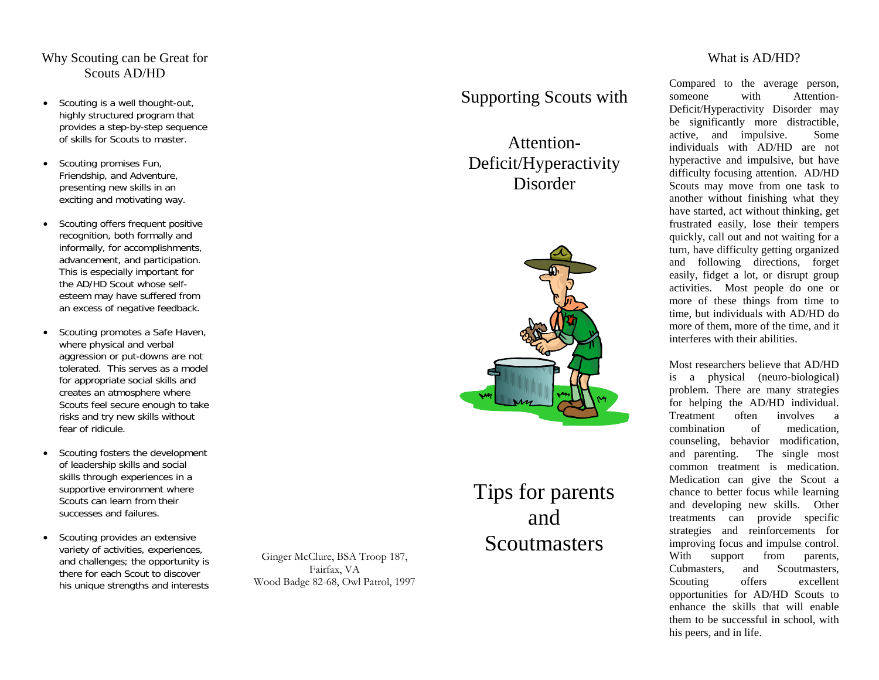# Why Scouting can be Great for Scouts AD/HD

- • Scouting is a well thought-out, highly structured program that provides a step-by-step sequence of skills for Scouts to master.
- • Scouting promises Fun, Friendship, and Adventure, presenting new skills in an exciting and motivating way.
- • Scouting offers frequent positive recognition, both formally and informally, for accomplishments, advancement, and participation. This is especially important for the AD/HD Scout whose selfesteem may have suffered from an excess of negative feedback.
- • Scouting promotes a Safe Haven, where physical and verbal aggression or put-downs are not tolerated. This serves as a model for appropriate social skills and creates an atmosphere where Scouts feel secure enough to take risks and try new skills without fear of ridicule.
- • Scouting fosters the development of leadership skills and social skills through experiences in a supportive environment where Scouts can learn from their successes and failures.
- • Scouting provides an extensive variety of activities, experiences, and challenges; the opportunity is there for each Scout to discover his unique strengths and interests

Ginger McClure, BSA Troop 187, Fairfax, VA Wood Badge 82-68, Owl Patrol, 1997

# Supporting Scouts with

Attention-Deficit/Hyperactivity Disorder



# Tips for parents and **Scoutmasters**

#### What is AD/HD?

Compared to the average person, someone with Attention-Deficit/Hyperactivity Disorder may be significantly more distractible, active, and impulsive. Some individuals with AD/HD are not hyperactive and impulsive, but have difficulty focusing attention. AD/HD Scouts may move from one task to another without finishing what they have started, act without thinking, get frustrated easily, lose their tempers quickly, call out and not waiting for a turn, have difficulty getting organized and following directions, forget easily, fidget a lot, or disrupt group activities. Most people do one or more of these things from time to time, but individuals with AD/HD do more of them, more of the time, and it interferes with their abilities.

Most researchers believe that AD/HD is a physical (neuro-biological) problem. There are many strategies for helping the AD/HD individual. Treatment often involves a combination of medication, counseling, behavior modification, and parenting. The single most common treatment is medication. Medication can give the Scout a chance to better focus while learning and developing new skills. Other treatments can provide specific strategies and reinforcements for improving focus and impulse control. With support from parents, Cubmasters, and Scoutmasters, Scouting offers excellent opportunities for AD/HD Scouts to enhance the skills that will enable them to be successful in school, with his peers, and in life.